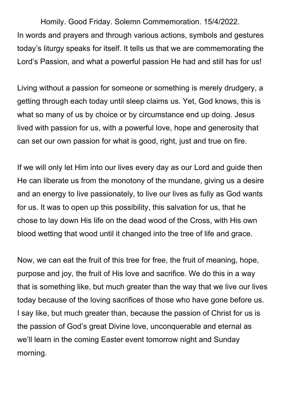Homily. Good Friday. Solemn Commemoration. 15/4/2022. In words and prayers and through various actions, symbols and gestures today's liturgy speaks for itself. It tells us that we are commemorating the Lord's Passion, and what a powerful passion He had and still has for us!

Living without a passion for someone or something is merely drudgery, a getting through each today until sleep claims us. Yet, God knows, this is what so many of us by choice or by circumstance end up doing. Jesus lived with passion for us, with a powerful love, hope and generosity that can set our own passion for what is good, right, just and true on fire.

If we will only let Him into our lives every day as our Lord and guide then He can liberate us from the monotony of the mundane, giving us a desire and an energy to live passionately, to live our lives as fully as God wants for us. It was to open up this possibility, this salvation for us, that he chose to lay down His life on the dead wood of the Cross, with His own blood wetting that wood until it changed into the tree of life and grace.

Now, we can eat the fruit of this tree for free, the fruit of meaning, hope, purpose and joy, the fruit of His love and sacrifice. We do this in a way that is something like, but much greater than the way that we live our lives today because of the loving sacrifices of those who have gone before us. I say like, but much greater than, because the passion of Christ for us is the passion of God's great Divine love, unconquerable and eternal as we'll learn in the coming Easter event tomorrow night and Sunday morning.